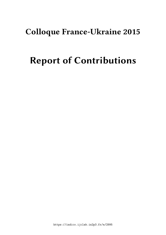## **Colloque France-Ukraine 2015**

# **Report of Contributions**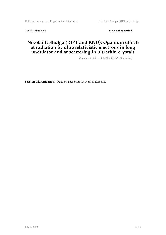Contribution ID: 0 Type: not specified

#### **Nikolai F. Shulga (KIPT and KNU): Quantum effects at radiation by ultrarelativistic electrons in long undulator and at scattering in ultrathin crystals**

*Thursday, October 15, 2015 9:30 AM (30 minutes)*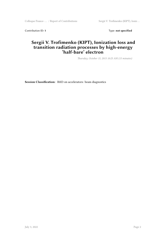Colloque France- ... / Report of Contributions Sergii V. Trofimenko (KIPT), Ioniz ...

Contribution ID: 1 Type: **not specified** 

#### **Sergii V. Trofimenko (KIPT), Ionization loss and transition radiation processes by high-energy 'half-bare' electron**

*Thursday, October 15, 2015 10:25 AM (15 minutes)*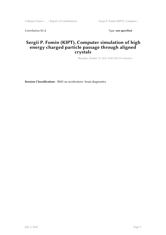Contribution ID: 2 Type: **not specified** 

#### **Sergii P. Fomin (KIPT), Computer simulation of high energy charged particle passage through aligned crystals**

*Thursday, October 15, 2015 10:00 AM (15 minutes)*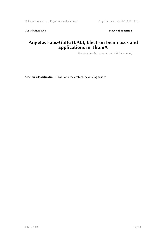Contribution ID: 3 Type: **not specified** 

#### **Angeles Faus-Golfe (LAL), Electron beam uses and applications in ThomX**

*Thursday, October 15, 2015 10:40 AM (15 minutes)*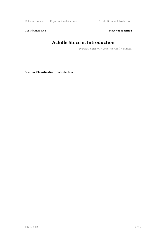Colloque France- … / Report of Contributions Achille Stocchi, Introduction

Contribution ID: 4 Type: **not specified** 

## **Achille Stocchi, Introduction**

*Thursday, October 15, 2015 9:15 AM (15 minutes)*

**Session Classification:** Introduction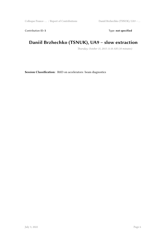Contribution ID: 5 Type: **not specified** 

## **Daniil Brzhechko (TSNUK), UA9 – slow extraction**

*Thursday, October 15, 2015 11:10 AM (10 minutes)*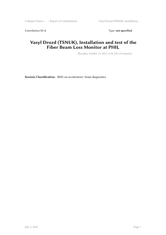Contribution ID: 6 Type: **not specified** 

#### **Vasyl Drozd (TSNUK), Installation and test of the Fiber Beam Loss Monitor at PHIL**

*Thursday, October 15, 2015 11:20 AM (10 minutes)*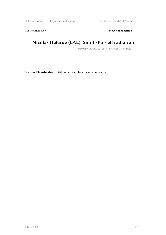Contribution ID: 7 Type: **not specified** 

## **Nicolas Delerue (LAL), Smith-Purcell radiation**

*Thursday, October 15, 2015 11:30 AM (10 minutes)*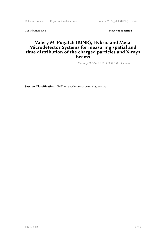Colloque France- … / Report of Contributions Valery M. Pugatch (KINR), Hybrid …

Contribution ID: 8 Type: not specified

#### **Valery M. Pugatch (KINR), Hybrid and Metal Microdetector Systems for measuring spatial and time distribution of the charged particles and X-rays beams**

*Thursday, October 15, 2015 11:55 AM (15 minutes)*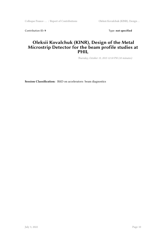Colloque France- … / Report of Contributions Oleksii Kovalchuk (KINR), Design …

Contribution ID: 9 Type: **not specified** 

#### **Oleksii Kovalchuk (KINR), Design of the Metal Microstrip Detector for the beam profile studies at PHIL**

*Thursday, October 15, 2015 12:10 PM (10 minutes)*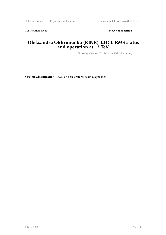Contribution ID: 10 Type: not specified

#### **Oleksandre Okhrimenko (KINR), LHCb RMS status and operation at 13 TeV**

*Thursday, October 15, 2015 12:20 PM (10 minutes)*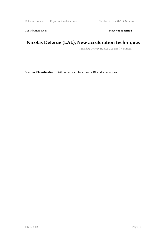Colloque France- ... / Report of Contributions Nicolas Delerue (LAL), New accele ...

Contribution ID: 11 Type: **not specified** 

## **Nicolas Delerue (LAL), New acceleration techniques**

*Thursday, October 15, 2015 2:15 PM (15 minutes)*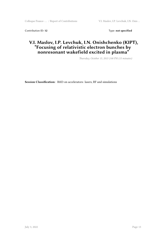Contribution ID: 12 Type: **not specified** 

#### **V.I. Maslov, I.P. Levchuk, I.N. Onishchenko (KIPT), "Focusing of relativistic electron bunches by nonresonant wakefield excited in plasma"**

*Thursday, October 15, 2015 2:00 PM (15 minutes)*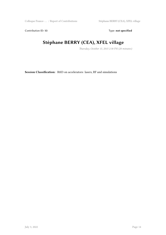Contribution ID: 13 Type: **not specified** 

## **Stéphane BERRY (CEA), XFEL village**

*Thursday, October 15, 2015 2:30 PM (20 minutes)*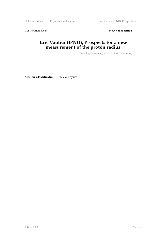Colloque France- ... / Report of Contributions Eric Voutier (IPNO), Prospects for ...

Contribution ID: 14 Type: **not specified** 

#### **Eric Voutier (IPNO), Prospects for a new measurement of the proton radius**

*Thursday, October 15, 2015 3:05 PM (20 minutes)*

**Session Classification:** Nuclear Physics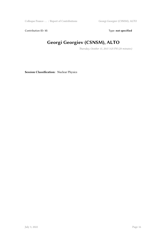Contribution ID: 15 Type: **not specified** 

## **Georgi Georgiev (CSNSM), ALTO**

*Thursday, October 15, 2015 3:25 PM (20 minutes)*

**Session Classification:** Nuclear Physics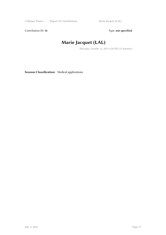Colloque France- ... / Report of Contributions Marie Jacquet (LAL)

Contribution ID: 16 Type: not specified

## **Marie Jacquet (LAL)**

*Thursday, October 15, 2015 4:30 PM (15 minutes)*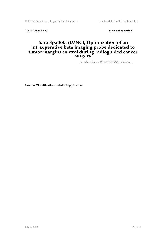Colloque France- … / Report of Contributions Sara Spadola (IMNC), Optimizatio …

Contribution ID: 17 Type: **not specified** 

#### **Sara Spadola (IMNC), Optimization of an intraoperative beta imaging probe dedicated to tumor margins control during radioguided cancer surgery**

*Thursday, October 15, 2015 4:45 PM (15 minutes)*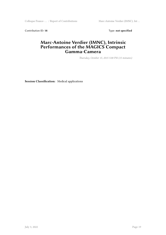Colloque France- ... / Report of Contributions Marc-Antoine Verdier (IMNC), Int ...

Contribution ID: 18 Type: **not specified** 

#### **Marc-Antoine Verdier (IMNC), Intrinsic Performances of the MAGICS Compact Gamma-Camera**

*Thursday, October 15, 2015 5:00 PM (15 minutes)*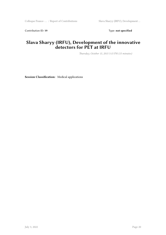Contribution ID: 19 Type: **not specified** 

#### **Slava Sharyy (IRFU), Development of the innovative detectors for PET at IRFU**

*Thursday, October 15, 2015 5:15 PM (15 minutes)*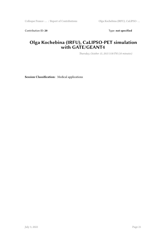Contribution ID: 20 Type: **not specified** 

#### **Olga Kochebina (IRFU), CaLIPSO-PET simulation with GATE/GEANT4**

*Thursday, October 15, 2015 5:30 PM (10 minutes)*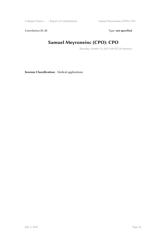Colloque France- ... / Report of Contributions Samuel Meyroneinc (CPO): CPO

Contribution ID: 21 Type: **not specified** 

## **Samuel Meyroneinc (CPO): CPO**

*Thursday, October 15, 2015 5:40 PM (20 minutes)*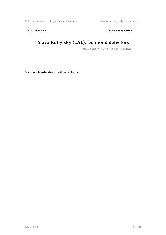Colloque France- … / Report of Contributions Slava Kubytsky (LAL), Diamond d …

Contribution ID: 22 Type: **not specified** 

## **Slava Kubytsky (LAL), Diamond detectors**

*Friday, October 16, 2015 9:15 AM (15 minutes)*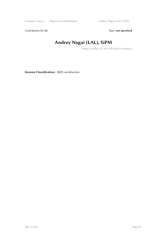Contribution ID: 23 Type: **not specified** 

## **Andrey Nagai (LAL), SiPM**

*Friday, October 16, 2015 9:30 AM (15 minutes)*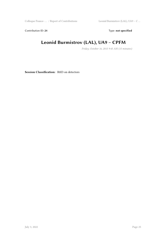Contribution ID: 24 Type: **not specified** 

## **Leonid Burmistrov (LAL), UA9 – CPFM**

*Friday, October 16, 2015 9:45 AM (15 minutes)*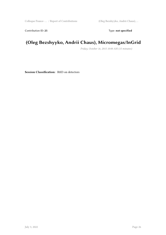Contribution ID: 25 Type: **not specified** 

## **(Oleg Bezshyyko, Andrii Chaus), Micromegas/InGrid**

*Friday, October 16, 2015 10:00 AM (15 minutes)*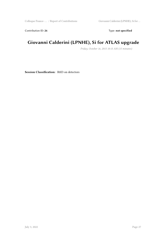Contribution ID: 26 Type: **not specified** 

## **Giovanni Calderini (LPNHE), Si for ATLAS upgrade**

*Friday, October 16, 2015 10:15 AM (15 minutes)*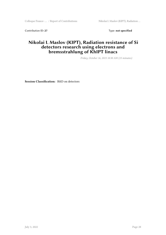Colloque France- ... / Report of Contributions Nikolai I. Maslov (KIPT), Radiation ...

Contribution ID: 27 Type: **not specified** 

#### **Nikolai I. Maslov (KIPT), Radiation resistance of Si detectors research using electrons and bremsstrahlung of KhIPT linacs**

*Friday, October 16, 2015 10:30 AM (15 minutes)*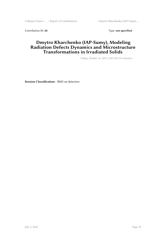Colloque France- ... / Report of Contributions Dmytro Kharchenko (IAP-Sumy), ...

Contribution ID: 28 Type: **not specified** 

#### **Dmytro Kharchenko (IAP-Sumy), Modeling Radiation Defects Dynamics and Microstructure Transformations in Irradiated Solids**

*Friday, October 16, 2015 11:00 AM (15 minutes)*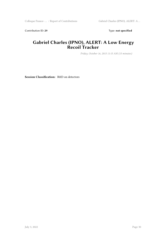Contribution ID: 29 Type: **not specified** 

#### **Gabriel Charles (IPNO), ALERT: A Low Energy Recoil Tracker**

*Friday, October 16, 2015 11:15 AM (15 minutes)*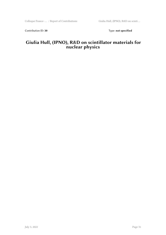Contribution ID: 30 Type: **not specified** 

#### **Giulia Hull, (IPNO), R&D on scintillator materials for nuclear physics**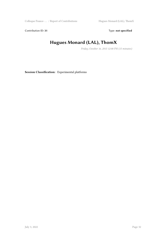Contribution ID: 31 Type: **not specified** 

## **Hugues Monard (LAL), ThomX**

*Friday, October 16, 2015 12:00 PM (15 minutes)*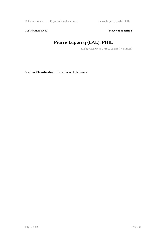Colloque France- ... / Report of Contributions Pierre Lepercq (LAL), PHIL

Contribution ID: 32 Type: **not specified** 

## **Pierre Lepercq (LAL), PHIL**

*Friday, October 16, 2015 12:15 PM (15 minutes)*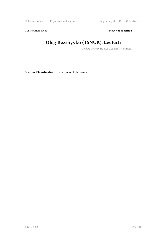Contribution ID: 33 Type: **not specified** 

## **Oleg Bezshyyko (TSNUK), Leetech**

*Friday, October 16, 2015 2:25 PM (10 minutes)*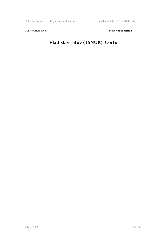Contribution ID: 34 Type: **not specified** 

## **Vladislav Titov (TSNUK), Corto**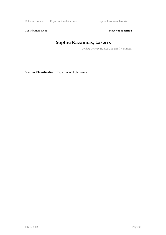Colloque France- ... / Report of Contributions Sophie Kazamias, Laserix

Contribution ID: 35 Type: **not specified** 

## **Sophie Kazamias, Laserix**

*Friday, October 16, 2015 2:35 PM (15 minutes)*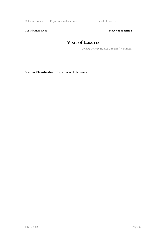Colloque France- ... / Report of Contributions Visit of Laserix

Contribution ID: 36 Type: **not specified** 

## **Visit of Laserix**

*Friday, October 16, 2015 2:50 PM (45 minutes)*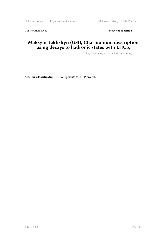Contribution ID: 37 Type: **not specified** 

#### **Maksym Teklishyn (GSI), Charmonium description using decays to hadronic states with LHCb,**

*Friday, October 16, 2015 3:50 PM (15 minutes)*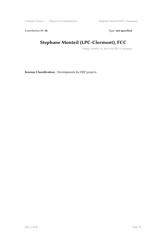Colloque France- … / Report of Contributions Stephane Monteil (LPC-Clermont), …

Contribution ID: 38 Type: **not specified** 

## **Stephane Monteil (LPC-Clermont), FCC**

*Friday, October 16, 2015 4:05 PM (15 minutes)*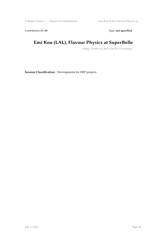Colloque France- … / Report of Contributions Emi Kou (LAL), Flavour Physics at …

Contribution ID: 39 Type: **not specified** 

## **Emi Kou (LAL), Flavour Physics at SuperBelle**

*Friday, October 16, 2015 4:20 PM (15 minutes)*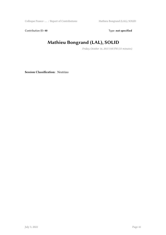Contribution ID: 40 **Type:** not specified

## **Mathieu Bongrand (LAL), SOLID**

*Friday, October 16, 2015 5:05 PM (15 minutes)*

**Session Classification:** Neutrino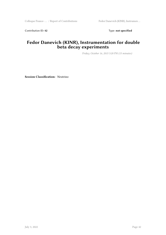Contribution ID: 42 Type: **not specified** 

#### **Fedor Danevich (KINR), Instrumentation for double beta decay experiments**

*Friday, October 16, 2015 5:20 PM (15 minutes)*

**Session Classification:** Neutrino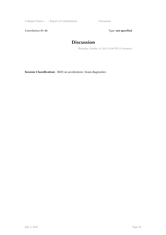Contribution ID: 43 Type: **not specified** 

## **Discussion**

*Thursday, October 15, 2015 12:30 PM (15 minutes)*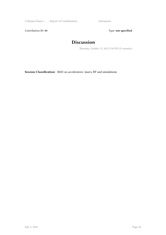Contribution ID: 44 Type: **not specified** 

## **Discussion**

*Thursday, October 15, 2015 2:50 PM (15 minutes)*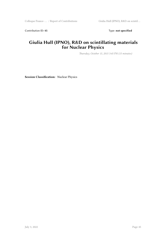Contribution ID: 45 Type: **not specified** 

#### **Giulia Hull (IPNO), R&D on scintillating materials for Nuclear Physics**

*Thursday, October 15, 2015 3:45 PM (15 minutes)*

**Session Classification:** Nuclear Physics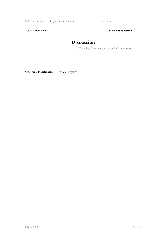Contribution ID: 46 Type: **not specified** 

## **Discussion**

*Thursday, October 15, 2015 4:00 PM (15 minutes)*

**Session Classification:** Nuclear Physics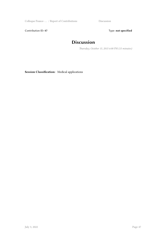Contribution ID: 47 Type: **not specified** 

## **Discussion**

*Thursday, October 15, 2015 6:00 PM (15 minutes)*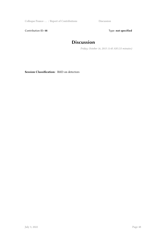Contribution ID: 48 Type: **not specified** 

## **Discussion**

*Friday, October 16, 2015 11:45 AM (15 minutes)*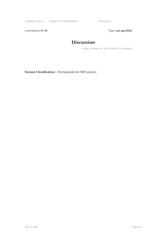Contribution ID: 49 Type: **not specified** 

## **Discussion**

*Friday, October 16, 2015 4:50 PM (15 minutes)*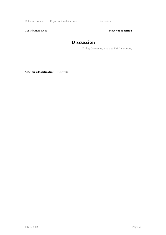Contribution ID: 50 Type: not specified

## **Discussion**

*Friday, October 16, 2015 5:35 PM (15 minutes)*

**Session Classification:** Neutrino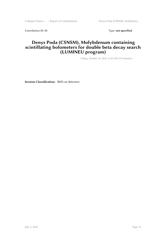Colloque France- ... / Report of Contributions Denys Poda (CSNSM), Molybdenu ...

Contribution ID: 51 Type: **not specified** 

#### **Denys Poda (CSNSM), Molybdenum containing scintillating bolometers for double beta decay search (LUMINEU program)**

*Friday, October 16, 2015 11:30 AM (15 minutes)*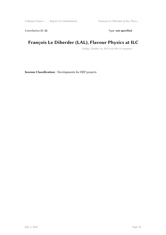Contribution ID: 52 Type: **not specified** 

## **François Le Diberder (LAL), Flavour Physics at ILC**

*Friday, October 16, 2015 4:35 PM (15 minutes)*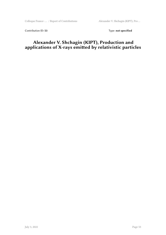Contribution ID: 53 Type: **not specified** 

#### **Alexander V. Shchagin (KIPT), Production and applications of X-rays emitted by relativistic particles**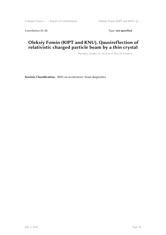Contribution ID: 55 Type: **not specified** 

#### **Oleksiy Fomin (KIPT and KNU), Qausireflection of relativistic charged particle beam by a thin crystal**

*Thursday, October 15, 2015 10:15 AM (10 minutes)*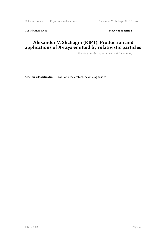Colloque France- ... / Report of Contributions Alexander V. Shchagin (KIPT), Pro ...

Contribution ID: 56 Type: **not specified** 

#### **Alexander V. Shchagin (KIPT), Production and applications of X-rays emitted by relativistic particles**

*Thursday, October 15, 2015 11:40 AM (15 minutes)*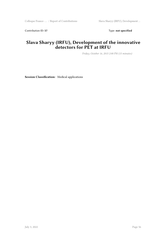Contribution ID: 57 Type: **not specified** 

#### **Slava Sharyy (IRFU), Development of the innovative detectors for PET at IRFU**

*Friday, October 16, 2015 2:00 PM (15 minutes)*